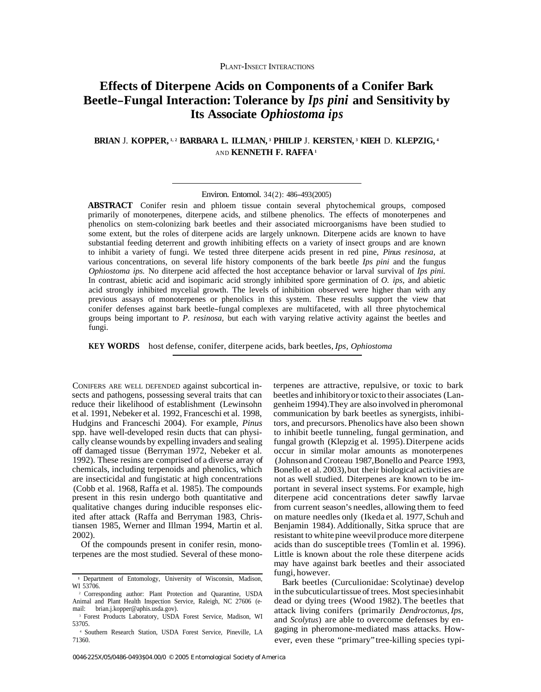# **Effects of Diterpene Acids on Components of a Conifer Bark Beetle-Fungal Interaction: Tolerance by** *Ips pini* **and Sensitivity by Its Associate** *Ophiostoma ips*

## **BRIAN** J. **KOPPER, 1, 2 BARBARA L. ILLMAN, 3 PHILIP** J. **KERSTEN, 3 KIEH** D. **KLEPZIG, 4**  AND **KENNETH F. RAFFA 1**

**ABSTRACT** Conifer resin and phloem tissue contain several phytochemical groups, composed primarily of monoterpenes, diterpene acids, and stilbene phenolics. The effects of monoterpenes and phenolics on stem-colonizing bark beetles and their associated microorganisms have been studied to some extent, but the roles of diterpene acids are largely unknown. Diterpene acids are known to have substantial feeding deterrent and growth inhibiting effects on a variety of insect groups and are known to inhibit a variety of fungi. We tested three diterpene acids present in red pine, *Pinus resinosa,* at various concentrations, on several life history components of the bark beetle *Ips pini* and the fungus *Ophiostoma ips.* No diterpene acid affected the host acceptance behavior or larval survival of *Ips pini.*  In contrast, abietic acid and isopimaric acid strongly inhibited spore germination of *O. ips,* and abietic acid strongly inhibited mycelial growth. The levels of inhibition observed were higher than with any previous assays of monoterpenes or phenolics in this system. These results support the view that conifer defenses against bark beetle-fungal complexes are multifaceted, with all three phytochemical groups being important to *P. resinosa,* but each with varying relative activity against the beetles and fungi.

**KEY WORDS** host defense, conifer, diterpene acids, bark beetles, *Ips, Ophiostoma* 

CONIFERS ARE WELL DEFENDED against subcortical insects and pathogens, possessing several traits that can reduce their likelihood of establishment (Lewinsohn et al. 1991, Nebeker et al. 1992, Franceschi et al. 1998, Hudgins and Franceschi 2004). For example, *Pinus*  spp. have well-developed resin ducts that can physically cleanse wounds by expelling invaders and sealing off damaged tissue (Berryman 1972, Nebeker et al. 1992). These resins are comprised of a diverse array of chemicals, including terpenoids and phenolics, which are insecticidal and fungistatic at high concentrations (Cobb et al. 1968, Raffa et al. 1985). The compounds present in this resin undergo both quantitative and qualitative changes during inducible responses elicited after attack (Raffa and Berryman 1983, Christiansen 1985, Werner and Illman 1994, Martin et al. 2002).

Of the compounds present in conifer resin, monoterpenes are the most studied. Several of these mono-

terpenes are attractive, repulsive, or toxic to bark beetles and inhibitoryor toxic to their associates (Langenheim 1994).They are also involved in pheromonal communication by bark beetles as synergists, inhibitors, and precursors. Phenolics have also been shown to inhibit beetle tunneling, fungal germination, and fungal growth (Klepzig et al. 1995). Diterpene acids occur in similar molar amounts as monoterpenes (Johnson and Croteau 1987,Bonello and Pearce 1993, Bonello et al. 2003),but their biological activities are not as well studied. Diterpenes are known to be important in several insect systems. For example, high diterpene acid concentrations deter sawfly larvae from current season's needles, allowing them to feed on mature needles only (Ikeda et al. 1977, Schuh and Benjamin 1984). Additionally, Sitka spruce that are resistant to white pine weevil produce more diterpene acids than do susceptible trees (Tomlin et al. 1996). Little is known about the role these diterpene acids may have against bark beetles and their associated fungi, however.

Bark beetles (Curculionidae: Scolytinae) develop in the subcuticulartissue of trees. Most speciesinhabit dead or dying trees (Wood 1982). The beetles that attack living conifers (primarily *Dendroctonus, Ips,*  and *Scolytus*) are able to overcome defenses by engaging in pheromone-mediated mass attacks. However, even these "primary" tree-killing species typi-

Environ. Entomol. 34(2): 486-493(2005)

**<sup>1</sup>**Department of Entomology, University of Wisconsin, Madison, WI 53706.

<sup>2</sup> Corresponding author: Plant Protection and Quarantine, USDA Animal and Plant Health Inspection Service, Raleigh, NC 27606 (e-

<sup>&</sup>lt;sup>3</sup> Forest Products Laboratory, USDA Forest Service, Madison, WI 53705. 4 Southern Research Station, USDA Forest Service, Pineville, LA

<sup>71360.</sup>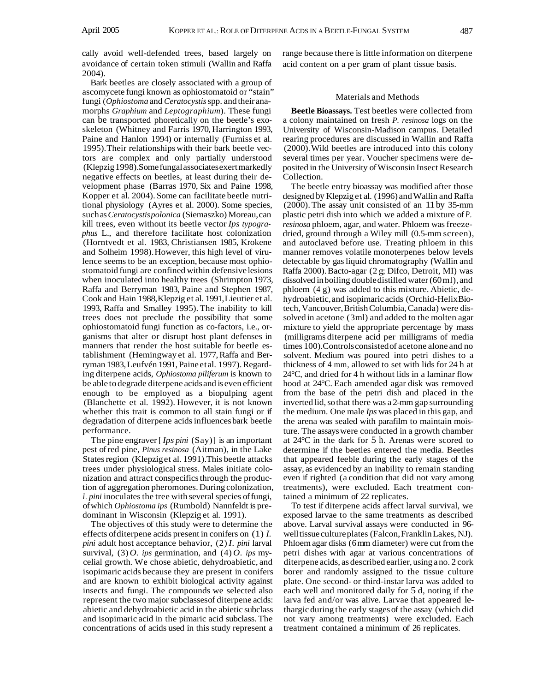cally avoid well-defended trees, based largely on avoidance of certain token stimuli (Wallin and Raffa 2004).

Bark beetles are closely associated with a group of ascomycete fungi known as ophiostomatoid or "stain" fungi (*Ophiostoma* and *Ceratocystis* spp. and their anamorphs *Graphium* and *Leptographium*). These fungi can be transported phoretically on the beetle's exoskeleton (Whitney and Farris 1970, Harrington 1993, Paine and Hanlon 1994) or internally (Furniss et al. 1995).Their relationships with their bark beetle vectors are complex and only partially understood (Klepzig 1998).Some fungal associatesexert markedly negative effects on beetles, at least during their development phase (Barras 1970, Six and Paine 1998, Kopper et al. 2004). Some can facilitate beetle nutritional physiology (Ayres et al. 2000). Some species, such as *Ceratocystis polonica* (Siemaszko) Moreau,can kill trees, even without its beetle vector *Ips typographus* L., and therefore facilitate host colonization (Horntvedt et al. 1983, Christiansen 1985, Krokene and Solheim 1998). However, this high level of virulence seems to be an exception, because most ophiostomatoid fungi are confined within defensive lesions when inoculated into healthy trees (Shrimpton 1973, Raffa and Berryman 1983, Paine and Stephen 1987, Cook and Hain 1988,Klepzig et al. 1991,Lieutier et al. 1993, Raffa and Smalley 1995). The inability to kill trees does not preclude the possibility that some ophiostomatoid fungi function as co-factors, i.e., organisms that alter or disrupt host plant defenses in manners that render the host suitable for beetle establishment (Hemingway et al. 1977, Raffa and Berryman 1983, Leufvén 1991, Paine et al. 1997). Regarding diterpene acids, *Ophiostoma piliferum* is known to be able to degrade diterpene acids and is even efficient enough to be employed as a biopulping agent (Blanchette et al. 1992). However, it is not known whether this trait is common to all stain fungi or if degradation of diterpene acids influences bark beetle performance.

The pine engraver [ *Ips pini* (Say)] is an important pest of red pine, *Pinus resinosa* (Aitman), in the Lake States region (Klepzig et al. 1991).This beetle attacks trees under physiological stress. Males initiate colonization and attract conspecifics through the production of aggregation pheromones. During colonization, *I. pini* inoculates the tree with several species of fungi, of which *Ophiostoma ips* (Rumbold) Nannfeldt is predominant in Wisconsin (Klepzig et al. 1991).

The objectives of this study were to determine the effects of diterpene acids present in conifers on (1) *I. pini* adult host acceptance behavior, (2) *I. pini* larval survival, (3) *O. ips* germination, and (4) *O. ips* mycelial growth. We chose abietic, dehydroabietic, and isopimaric acids because they are present in conifers and are known to exhibit biological activity against insects and fungi. The compounds we selected also represent the two major subclassesof diterpene acids: abietic and dehydroabietic acid in the abietic subclass and isopimaric acid in the pimaric acid subclass. The concentrations of acids used in this study represent a

range because there is little information on diterpene acid content on a per gram of plant tissue basis.

### Materials and Methods

**Beetle Bioassays.** Test beetles were collected from a colony maintained on fresh *P. resinosa* logs on the University of Wisconsin-Madison campus. Detailed rearing procedures are discussed in Wallin and Raffa (2000).Wild beetles are introduced into this colony several times per year. Voucher specimens were deposited in the University of Wisconsin Insect Research Collection.

The beetle entry bioassay was modified after those designed by Klepzig et al. (1996) and Wallin and Raffa (2000). The assay unit consisted of an 11 by 35-mm plastic petri dish into which we added a mixture of *P. resinosa* phloem, agar, and water. Phloem was freezedried, ground through a Wiley mill (0.5-mm screen), and autoclaved before use. Treating phloem in this manner removes volatile monoterpenes below levels detectable by gas liquid chromatography (Wallin and Raffa 2000). Bacto-agar (2 g; Difco, Detroit, MI) was dissolved in boiling double distilled water (60 ml), and phloem (4 g) was added to this mixture. Abietic, dehydroabietic,and isopimaric acids (Orchid-HelixBiotech, Vancouver, British Columbia, Canada) were dissolved in acetone (3ml) and added to the molten agar mixture to yield the appropriate percentage by mass (milligrams diterpene acid per milligrams of media times 100).Controlsconsistedof acetone alone and no solvent. Medium was poured into petri dishes to a thickness of 4 mm, allowed to set with lids for 24 h at 24°C, and dried for 4 h without lids in a laminar flow hood at 24°C. Each amended agar disk was removed from the base of the petri dish and placed in the inverted lid, so that there was a 2-mm gap surrounding the medium. One male *Ips* was placed in this gap, and the arena was sealed with parafilm to maintain moisture. The assays were conducted in a growth chamber at 24°C in the dark for 5 h. Arenas were scored to determine if the beetles entered the media. Beetles that appeared feeble during the early stages of the assay, as evidenced by an inability to remain standing even if righted (a condition that did not vary among treatments), were excluded. Each treatment contained a minimum of 22 replicates.

To test if diterpene acids affect larval survival, we exposed larvae to the same treatments as described above. Larval survival assays were conducted in 96 well tissue cultureplates (Falcon,Franklin Lakes, NJ). Phloem agar disks (6 mm diameter) were cut from the petri dishes with agar at various concentrations of diterpene acids, as described earlier, using a no. 2 cork borer and randomly assigned to the tissue culture plate. One second- or third-instar larva was added to each well and monitored daily for 5 d, noting if the larva fed and/or was alive. Larvae that appeared lethargic during the early stages of the assay (which did not vary among treatments) were excluded. Each treatment contained a minimum of 26 replicates.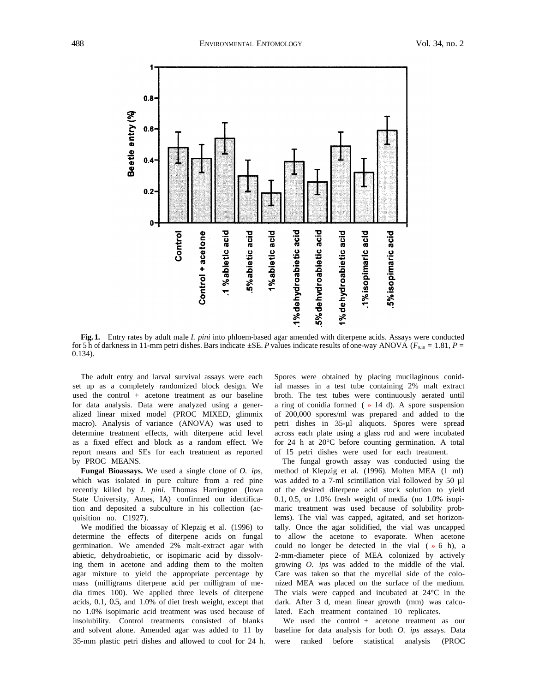

**Fig. 1.** Entry rates by adult male *I. pini* into phloem-based agar amended with diterpene acids. Assays were conducted for 5 h of darkness in 11-mm petri dishes. Bars indicate ±SE. *P* values indicate results of one-way ANOVA (*F*9,18 = 1.81, *P* = 0.134).

The adult entry and larval survival assays were each set up as a completely randomized block design. We used the control + acetone treatment as our baseline for data analysis. Data were analyzed using a generalized linear mixed model (PROC MIXED, glimmix macro). Analysis of variance (ANOVA) was used to determine treatment effects, with diterpene acid level as a fixed effect and block as a random effect. We report means and SEs for each treatment as reported by PROC MEANS.

**Fungal Bioassays.** We used a single clone of *O. ips,*  which was isolated in pure culture from a red pine recently killed by *I. pini.* Thomas Harrington (Iowa State University, Ames, IA) confirmed our identification and deposited a subculture in his collection (acquisition no. C1927).

We modified the bioassay of Klepzig et al. (1996) to determine the effects of diterpene acids on fungal germination. We amended 2% malt-extract agar with abietic, dehydroabietic, or isopimaric acid by dissolving them in acetone and adding them to the molten agar mixture to yield the appropriate percentage by mass (milligrams diterpene acid per milligram of media times 100). We applied three levels of diterpene acids, 0.1, 0.5, and 1.0% of diet fresh weight, except that no 1.0% isopimaric acid treatment was used because of insolubility. Control treatments consisted of blanks and solvent alone. Amended agar was added to 11 by 35-mm plastic petri dishes and allowed to cool for 24 h.

Spores were obtained by placing mucilaginous conidial masses in a test tube containing 2% malt extract broth. The test tubes were continuously aerated until a ring of conidia formed ( » 14 d). A spore suspension of 200,000 spores/ml was prepared and added to the petri dishes in 35-µl aliquots. Spores were spread across each plate using a glass rod and were incubated for 24 h at 20°C before counting germination. A total of 15 petri dishes were used for each treatment.

The fungal growth assay was conducted using the method of Klepzig et al. (1996). Molten MEA (1 ml) was added to a 7-ml scintillation vial followed by 50 µl of the desired diterpene acid stock solution to yield 0.1, 0.5, or 1.0% fresh weight of media (no 1.0% isopimaric treatment was used because of solubility problems). The vial was capped, agitated, and set horizontally. Once the agar solidified, the vial was uncapped to allow the acetone to evaporate. When acetone could no longer be detected in the vial  $(* 6 h)$ , a 2-mm-diameter piece of MEA colonized by actively growing *O. ips* was added to the middle of the vial. Care was taken so that the mycelial side of the colonized MEA was placed on the surface of the medium. The vials were capped and incubated at 24°C in the dark. After 3 d, mean linear growth (mm) was calculated. Each treatment contained 10 replicates.

We used the control + acetone treatment as our baseline for data analysis for both *O. ips* assays. Data were ranked before statistical analysis (PROC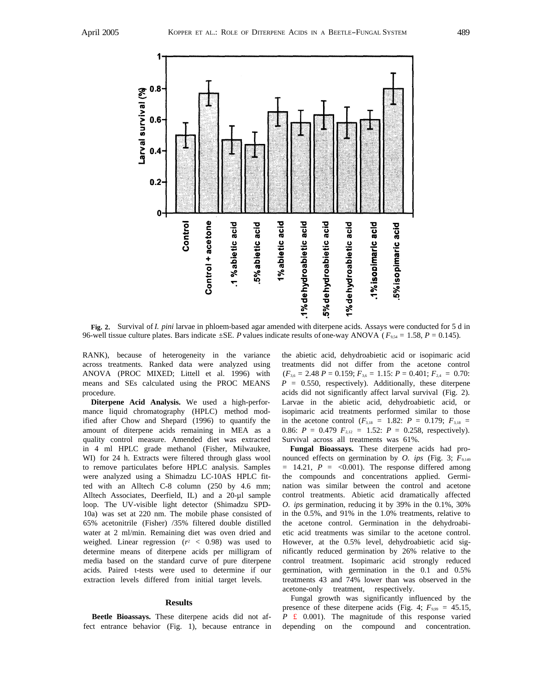

**Fig. 2.** Survival of *I. pini* larvae in phloem-based agar amended with diterpene acids. Assays were conducted for 5 d in 96-well tissue culture plates. Bars indicate ±SE. *P* values indicate results of one-way ANOVA ( *F*9,54 = 1.58, *P* = 0.145).

RANK), because of heterogeneity in the variance across treatments. Ranked data were analyzed using ANOVA (PROC MIXED; Littell et al. 1996) with means and SEs calculated using the PROC MEANS procedure.

**Diterpene Acid Analysis.** We used a high-performance liquid chromatography (HPLC) method modified after Chow and Shepard (1996) to quantify the amount of diterpene acids remaining in MEA as a quality control measure. Amended diet was extracted in 4 ml HPLC grade methanol (Fisher, Milwaukee, WI) for 24 h. Extracts were filtered through glass wool to remove particulates before HPLC analysis. Samples were analyzed using a Shimadzu LC-10AS HPLC fitted with an Alltech C-8 column (250 by 4.6 mm; Alltech Associates, Deerfield, IL) and a 20-µl sample loop. The UV-visible light detector (Shimadzu SPD-10a) was set at 220 nm. The mobile phase consisted of 65% acetonitrile (Fisher) /35% filtered double distilled water at 2 ml/min. Remaining diet was oven dried and weighed. Linear regression  $(r^2 < 0.98)$  was used to determine means of diterpene acids per milligram of media based on the standard curve of pure diterpene acids. Paired t-tests were used to determine if our extraction levels differed from initial target levels.

#### **Results**

**Beetle Bioassays.** These diterpene acids did not affect entrance behavior (Fig. 1), because entrance in

the abietic acid, dehydroabietic acid or isopimaric acid treatments did not differ from the acetone control  $(F_{3,6} = 2.48 \, P = 0.159; F_{3,6} = 1.15; P = 0.401; F_{2,4} = 0.70;$  $P = 0.550$ , respectively). Additionally, these diterpene acids did not significantly affect larval survival (Fig. 2). Larvae in the abietic acid, dehydroabietic acid, or isopimaric acid treatments performed similar to those in the acetone control  $(F_{3,18} = 1.82; P = 0.179; F_{3,18} =$ 0.86:  $P = 0.479$   $F_{2,12} = 1.52$ :  $P = 0.258$ , respectively). Survival across all treatments was 61%.

**Fungal Bioassays.** These diterpene acids had pronounced effects on germination by *O. ips* (Fig. 3;  $F_{9,149}$ )  $= 14.21$ ,  $P = <0.001$ ). The response differed among the compounds and concentrations applied. Germination was similar between the control and acetone control treatments. Abietic acid dramatically affected *O. ips* germination, reducing it by 39% in the 0.1%, 30% in the 0.5%, and 91% in the 1.0% treatments, relative to the acetone control. Germination in the dehydroabietic acid treatments was similar to the acetone control. However, at the 0.5% level, dehydroabietic acid significantly reduced germination by 26% relative to the control treatment. Isopimaric acid strongly reduced germination, with germination in the 0.1 and 0.5% treatments 43 and 74% lower than was observed in the acetone-only treatment, respectively.

Fungal growth was significantly influenced by the presence of these diterpene acids (Fig. 4;  $F_{9,99} = 45.15$ , *P* **£** 0.001). The magnitude of this response varied depending on the compound and concentration.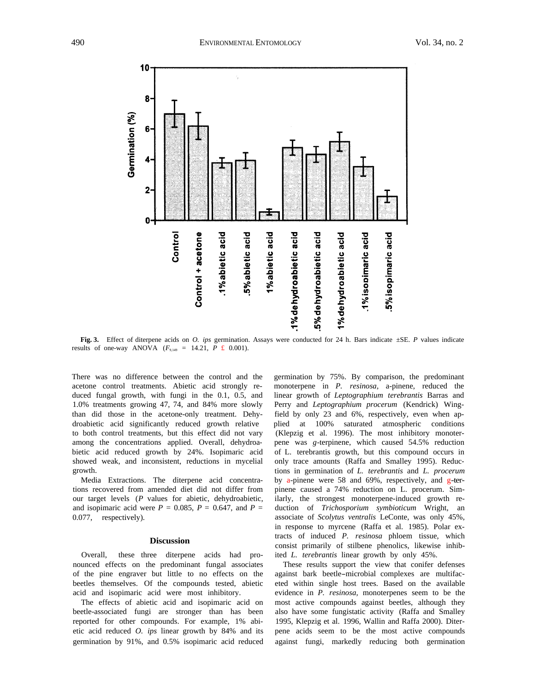<span id="page-4-0"></span>

**Fig. 3.** Effect of diterpene acids on *O. ips* germination. Assays were conducted for 24 h. Bars indicate ±SE. *P* values indicate results of one-way ANOVA  $(F_{9,149} = 14.21, P \t\pounds 0.001)$ .

There was no difference between the control and the acetone control treatments. Abietic acid strongly reduced fungal growth, with fungi in the 0.1, 0.5, and 1.0% treatments growing 47, 74, and 84% more slowly than did those in the acetone-only treatment. Dehydroabietic acid significantly reduced growth relative to both control treatments, but this effect did not vary among the concentrations applied. Overall, dehydroabietic acid reduced growth by 24%. Isopimaric acid showed weak, and inconsistent, reductions in mycelial growth.

Media Extractions. The diterpene acid concentrations recovered from amended diet did not differ from our target levels (*P* values for abietic, dehydroabietic, and isopimaric acid were  $P = 0.085$ ,  $P = 0.647$ , and  $P =$ 0.077, respectively).

#### **Discussion**

Overall, these three diterpene acids had pronounced effects on the predominant fungal associates of the pine engraver but little to no effects on the beetles themselves. Of the compounds tested, abietic acid and isopimaric acid were most inhibitory.

The effects of abietic acid and isopimaric acid on beetle-associated fungi are stronger than has been reported for other compounds. For example, 1% abietic acid reduced *O. ips* linear growth by 84% and its germination by 91%, and 0.5% isopimaric acid reduced germination by 75%. By comparison, the predominant monoterpene in *P. resinosa,* a-pinene, reduced the linear growth of *Leptographium terebrantis* Barras and Perry and *Leptographium procerum* (Kendrick) Wingfield by only 23 and 6%, respectively, even when applied at 100% saturated atmospheric conditions (Klepzig et al. 1996). The most inhibitory monoterpene was *g*-terpinene, which caused 54.5% reduction of L. terebrantis growth, but this compound occurs in only trace amounts (Raffa and Smalley 1995). Reductions in germination of *L. terebrantis* and *L. procerum*  by a-pinene were 58 and 69%, respectively, and  $g$ -terpinene caused a 74% reduction on L. procerum. Similarly, the strongest monoterpene-induced growth reduction of *Trichosporium symbioticum* Wright, an associate of *Scolytus ventralis* LeConte, was only 45%, in response to myrcene (Raffa et al. 1985). Polar extracts of induced *P. resinosa* phloem tissue, which consist primarily of stilbene phenolics, likewise inhibited *L. terebrantis* linear growth by only 45%.

These results support the view that conifer defenses against bark beetle-microbial complexes are multifaceted within single host trees. Based on the available evidence in *P. resinosa,* monoterpenes seem to be the most active compounds against beetles, although they also have some fungistatic activity (Raffa and Smalley 1995, Klepzig et al. 1996, Wallin and Raffa 2000). Diterpene acids seem to be the most active compounds against fungi, markedly reducing both germination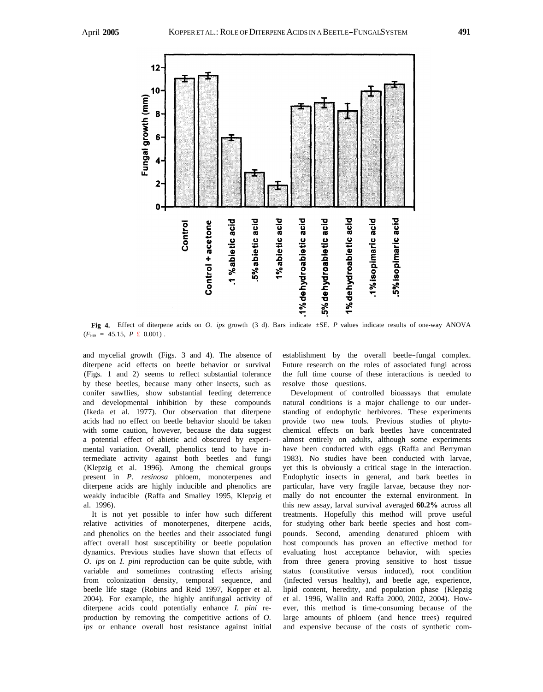

**Fig 4.** Effect of diterpene acids on *O. ips* growth (3 d). Bars indicate ±SE. *P* values indicate results of one-way ANOVA  $(F_{9.99} = 45.15, P \text{ £ } 0.001)$ .

and mycelial growth [\(Figs. 3](#page-4-0) and 4). The absence of diterpene acid effects on beetle behavior or survival (Figs. 1 and 2) seems to reflect substantial tolerance by these beetles, because many other insects, such as conifer sawflies, show substantial feeding deterrence and developmental inhibition by these compounds (Ikeda et al. 1977). Our observation that diterpene acids had no effect on beetle behavior should be taken with some caution, however, because the data suggest a potential effect of abietic acid obscured by experimental variation. Overall, phenolics tend to have intermediate activity against both beetles and fungi (Klepzig et al. 1996). Among the chemical groups present in *P. resinosa* phloem, monoterpenes and diterpene acids are highly inducible and phenolics are weakly inducible (Raffa and Smalley 1995, Klepzig et al. 1996).

It is not yet possible to infer how such different relative activities of monoterpenes, diterpene acids, and phenolics on the beetles and their associated fungi affect overall host susceptibility or beetle population dynamics. Previous studies have shown that effects of *O. ips* on *I. pini* reproduction can be quite subtle, with variable and sometimes contrasting effects arising from colonization density, temporal sequence, and beetle life stage (Robins and Reid 1997, Kopper et al. 2004). For example, the highly antifungal activity of diterpene acids could potentially enhance *I. pini* reproduction by removing the competitive actions of *O. ips* or enhance overall host resistance against initial

establishment by the overall beetle-fungal complex. Future research on the roles of associated fungi across the full time course of these interactions is needed to resolve those questions.

Development of controlled bioassays that emulate natural conditions is a major challenge to our understanding of endophytic herbivores. These experiments provide two new tools. Previous studies of phytochemical effects on bark beetles have concentrated almost entirely on adults, although some experiments have been conducted with eggs (Raffa and Berryman 1983). No studies have been conducted with larvae, yet this is obviously a critical stage in the interaction. Endophytic insects in general, and bark beetles in particular, have very fragile larvae, because they normally do not encounter the external environment. In this new assay, larval survival averaged **60.2%** across all treatments. Hopefully this method will prove useful for studying other bark beetle species and host compounds. Second, amending denatured phloem with host compounds has proven an effective method for evaluating host acceptance behavior, with species from three genera proving sensitive to host tissue status (constitutive versus induced), root condition (infected versus healthy), and beetle age, experience, lipid content, heredity, and population phase (Klepzig et al. 1996, Wallin and Raffa 2000, 2002, 2004). However, this method is time-consuming because of the large amounts of phloem (and hence trees) required and expensive because of the costs of synthetic com-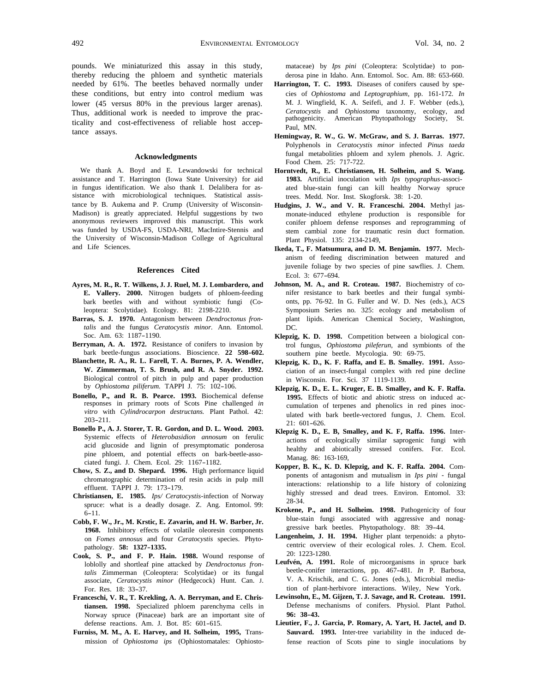pounds. We miniaturized this assay in this study, thereby reducing the phloem and synthetic materials needed by 61%. The beetles behaved normally under these conditions, but entry into control medium was lower (45 versus 80% in the previous larger arenas). Thus, additional work is needed to improve the practicality and cost-effectiveness of reliable host acceptance assays.

#### **Acknowledgments**

We thank A. Boyd and E. Lewandowski for technical assistance and T. Harrington (Iowa State University) for aid in fungus identification. We also thank I. Delalibera for assistance with microbiological techniques. Statistical assistance by B. Aukema and P. Crump (University of Wisconsin-Madison) is greatly appreciated. Helpful suggestions by two anonymous reviewers improved this manuscript. This work was funded by USDA-FS, USDA-NRI, MacIntire-Stennis and the University of Wisconsin-Madison College of Agricultural and Life Sciences.

#### **References Cited**

- **Ayres, M. R., R. T. Wilkens, J. J. Ruel, M. J. Lombardero, and E. Vallery. 2000.** Nitrogen budgets of phloem-feeding bark beetles with and without symbiotic fungi (Coleoptera: Scolytidae). Ecology. 81: 2198-2210.
- **Barras, S. J. 1970.** Antagonism between *Dendroctonus frontalis* and the fungus *Ceratocystis minor.* Ann. Entomol. Soc. Am. 63: 1187-1190.
- **Berryman, A. A. 1972.** Resistance of conifers to invasion by bark beetle-fungus associations. Bioscience. **22 598-602.**
- **Blanchette, R. A., R. L. Farell, T. A. Burnes, P. A. Wendler, W. Zimmerman, T. S. Brush, and R. A. Snyder. 1992.**  Biological control of pitch in pulp and paper production by *Ophiostoma piliferum.* TAPPI J. 75: 102-106.
- **Bonello, P., and R. B. Pearce. 1993.** Biochemical defense responses in primary roots of Scots Pine challenged *in vitro* with *Cylindrocarpon destructans.* Plant Pathol. 42: 203-211.
- **Bonello P., A. J. Storer, T. R. Gordon, and D. L. Wood. 2003.**  Systemic effects of *Heterobasidion annosum* on ferulic acid glucoside and lignin of presymptomatic ponderosa pine phloem, and potential effects on bark-beetle-associated fungi. J. Chem. Ecol. 29: 1167-1182.
- **Chow, S. Z., and D. Shepard. 1996.** High performance liquid chromatographic determination of resin acids in pulp mill effluent. TAPPI J. 79: 173-179.
- **Christiansen, E. 1985.** *Ips/ Ceratocystis*-infection of Norway spruce: what is a deadly dosage. Z. Ang. Entomol. 99: 6-11.
- **Cobb, F. W., Jr., M. Krstic, E. Zavarin, and H. W. Barber, Jr. 1968.** Inhibitory effects of volatile oleoresin components on *Fomes annosus* and four *Ceratocystis* species. Phytopathology. **58: 1327-1335.**
- **Cook, S. P., and F. P. Hain. 1988.** Wound response of loblolly and shortleaf pine attacked by *Dendroctonus frontalis* Zimmerman (Coleoptera: Scolytidae) or its fungal associate, *Ceratocystis minor* (Hedgecock) Hunt. Can. J. For. Res. 18: 33-37.
- **Franceschi, V. R., T. Krekling, A. A. Berryman, and E. Christiansen. 1998.** Specialized phloem parenchyma cells in Norway spruce (Pinaceae) bark are an important site of defense reactions. Am. J. Bot. 85: 601-615.
- **Furniss, M. M., A. E. Harvey, and H. Solheim, 1995,** Transmission of *Ophiostoma ips* (Ophiostomatales: Ophiosto-

mataceae) by *Ips pini* (Coleoptera: Scolytidae) to ponderosa pine in Idaho. Ann. Entomol. Soc. Am. 88: 653-660.

- **Harrington, T. C. 1993.** Diseases of conifers caused by species of *Ophiostoma* and *Leptographium,* pp. 161-172. *In*  M. J. Wingfield, K. A. Seifefi, and J. F. Webber (eds.), *Ceratocystis* and *Ophiostoma* taxonomy, ecology, and pathogenicity. American Phytopathology Society, St. Paul, MN.
- **Hemingway, R. W., G. W. McGraw, and S. J. Barras. 1977.**  Polyphenols in *Ceratocystis minor* infected *Pinus taeda*  fungal metabolities phloem and xylem phenols. J. Agric. Food Chem. 25: 717-722.
- **Horntvedt, R., E. Christiansen, H. Solheim, and S. Wang. 1983.** Artificial inoculation with *Ips typographus*-associated blue-stain fungi can kill healthy Norway spruce trees. Medd. Nor. Inst. Skogforsk. 38: 1-20.
- **Hudgins, J. W., and V. R. Franceschi. 2004.** Methyl jasmonate-induced ethylene production is responsible for conifer phloem defense responses and reprogramming of stem cambial zone for traumatic resin duct formation. Plant Physiol. 135: 2134-2149,
- **Ikeda, T., F. Matsumura, and D. M. Benjamin. 1977.** Mechanism of feeding discrimination between matured and juvenile foliage by two species of pine sawflies. J. Chem. Ecol. 3: 677-694.
- **Johnson, M. A., and R. Croteau. 1987.** Biochemistry of conifer resistance to bark beetles and their fungal symbionts, pp. 76-92. In G. Fuller and W. D. Nes (eds.), ACS Symposium Series no. 325: ecology and metabolism of plant lipids. American Chemical Society, Washington, DC.
- **Klepzig, K. D. 1998.** Competition between a biological control fungus, *Ophiostoma pileferun,* and symbionts of the southern pine beetle. Mycologia. 90: 69-75.
- **Klepzig, K. D., K. F. Raffa, and E. B. Smalley. 1991.** Association of an insect-fungal complex with red pine decline in Wisconsin. For. Sci. 37 1119-1139.
- **Klepzig, K. D., E. L. Kruger, E. B. Smalley, and K. F. Raffa. 1995.** Effects of biotic and abiotic stress on induced accumulation of terpenes and phenolics in red pines inoculated with bark beetle-vectored fungus, J. Chem. Ecol. 21: 601-626.
- **Klepzig K. D., E. B, Smalley, and K. F, Raffa. 1996.** Interactions of ecologically similar saprogenic fungi with healthy and abiotically stressed conifers. For. Ecol. Manag. 86: 163-169,
- **Kopper, B. K., K. D. Klepzig, and K. F. Raffa. 2004.** Components of antagonism and mutualism in *Ips pini* - fungal interactions: relationship to a life history of colonizing highly stressed and dead trees. Environ. Entomol. 33: 28-34.
- **Krokene, P., and H. Solheim. 1998.** Pathogenicity of four blue-stain fungi associated with aggressive and nonaggressive bark beetles. Phytopathology. 88: 39-44.
- **Langenheim, J. H. 1994.** Higher plant terpenoids: a phytocentric overview of their ecological roles. J. Chem. Ecol. 20: 1223-1280.
- **Leufvén, A. 1991.** Role of microorganisms in spruce bark beetle-conifer interactions, pp. 467-481. *In* P. Barbosa, V. A. Krischik, and C. G. Jones (eds.), Microbial mediation of plant-herbivore interactions. Wiley, New York.
- **Lewinsohn, E., M. Gijzen, T. J. Savage, and R. Croteau. 1991.**  Defense mechanisms of conifers. Physiol. Plant Pathol. **96: 38-43.**
- **Lieutier, F., J. Garcia, P. Romary, A. Yart, H. Jactel, and D. Sauvard. 1993.** Inter-tree variability in the induced defense reaction of Scots pine to single inoculations by